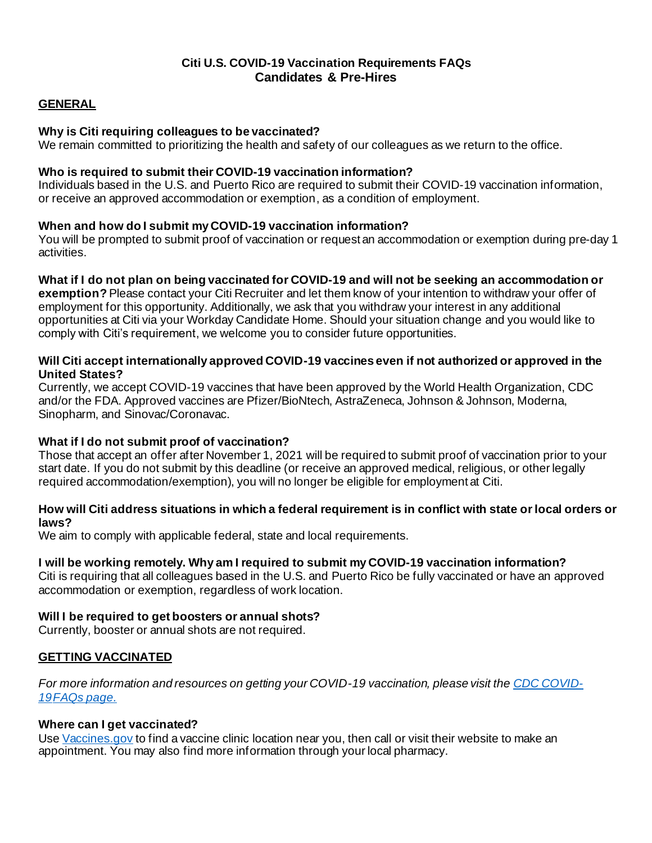# **Citi U.S. COVID-19 Vaccination Requirements FAQs Candidates & Pre-Hires**

### **GENERAL**

### **Why is Citi requiring colleagues to be vaccinated?**

We remain committed to prioritizing the health and safety of our colleagues as we return to the office.

#### **Who is required to submit their COVID-19 vaccination information?**

Individuals based in the U.S. and Puerto Rico are required to submit their COVID-19 vaccination information, or receive an approved accommodation or exemption, as a condition of employment.

### **When and how do I submit my COVID-19 vaccination information?**

You will be prompted to submit proof of vaccination or request an accommodation or exemption during pre-day 1 activities.

### What if I do not plan on being vaccinated for COVID-19 and will not be seeking an accommodation or

**exemption?** Please contact your Citi Recruiter and let them know of your intention to withdraw your offer of employment for this opportunity. Additionally, we ask that you withdraw your interest in any additional opportunities at Citi via your Workday Candidate Home. Should your situation change and you would like to comply with Citi's requirement, we welcome you to consider future opportunities.

### **Will Citi accept internationally approved COVID-19 vaccines even if not authorized or approved in the United States?**

Currently, we accept COVID-19 vaccines that have been approved by the World Health Organization, CDC and/or the FDA. Approved vaccines are Pfizer/BioNtech, AstraZeneca, Johnson & Johnson, Moderna, Sinopharm, and Sinovac/Coronavac.

## **What if I do not submit proof of vaccination?**

Those that accept an offer after November 1, 2021 will be required to submit proof of vaccination prior to your start date. If you do not submit by this deadline (or receive an approved medical, religious, or other legally required accommodation/exemption), you will no longer be eligible for employment at Citi.

### How will Citi address situations in which a federal requirement is in conflict with state or local orders or **laws?**

We aim to comply with applicable federal, state and local requirements.

## **I will be working remotely. Why am I required to submit my COVID-19 vaccination information?**

Citi is requiring that all colleagues based in the U.S. and Puerto Rico be fully vaccinated or have an approved accommodation or exemption, regardless of work location.

## **Will I be required to get boosters or annual shots?**

Currently, booster or annual shots are not required.

## **GETTING VACCINATED**

For more information and resources on getting your COVID-19 vaccination, please visit the **[CDC COVID-](https://www.cdc.gov/coronavirus/2019-ncov/vaccines/faq.html?s_cid=10482%3Avaccine%20after%20covid%3Asem.ga%3Ap%3ARG%3AGM%3Agen%3APTN%3AFY21)***[19FAQs](https://www.cdc.gov/coronavirus/2019-ncov/vaccines/faq.html?s_cid=10482%3Avaccine%20after%20covid%3Asem.ga%3Ap%3ARG%3AGM%3Agen%3APTN%3AFY21) page.*

#### **Where can I get vaccinated?**

Use [Vaccines.gov](https://www.vaccines.gov/) to find a vaccine clinic location near you, then call or visit their website to make an appointment. You may also find more information through your local pharmacy.